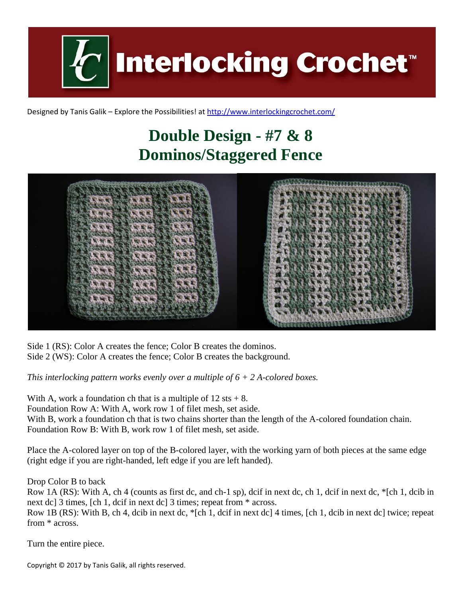**Interlocking Crochet™** 

Designed by Tanis Galik – Explore the Possibilities! a[t http://www.interlockingcrochet.com/](http://www.interlockingcrochet.com/)

## **Double Design - #7 & 8 Dominos/Staggered Fence**



Side 1 (RS): Color A creates the fence; Color B creates the dominos. Side 2 (WS): Color A creates the fence; Color B creates the background.

*This interlocking pattern works evenly over a multiple of 6 + 2 A-colored boxes.*

With A, work a foundation ch that is a multiple of  $12 \text{ sts} + 8$ . Foundation Row A: With A, work row 1 of filet mesh, set aside.

With B, work a foundation ch that is two chains shorter than the length of the A-colored foundation chain. Foundation Row B: With B, work row 1 of filet mesh, set aside.

Place the A-colored layer on top of the B-colored layer, with the working yarn of both pieces at the same edge (right edge if you are right-handed, left edge if you are left handed).

Drop Color B to back

Row 1A (RS): With A, ch 4 (counts as first dc, and ch-1 sp), dcif in next dc, ch 1, dcif in next dc, \*[ch 1, dcib in next dc] 3 times, [ch 1, dcif in next dc] 3 times; repeat from \* across.

Row 1B (RS): With B, ch 4, dcib in next dc, \*[ch 1, dcif in next dc] 4 times, [ch 1, dcib in next dc] twice; repeat from \* across.

Turn the entire piece.

Copyright © 2017 by Tanis Galik, all rights reserved.